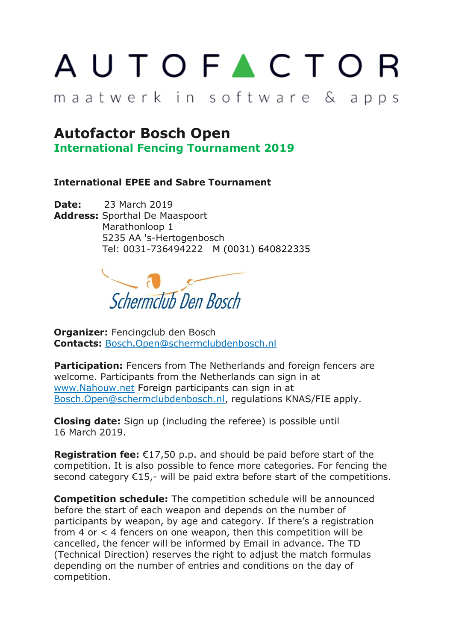## AUTOFACTOR

## maatwerk in software & apps

## **Autofactor Bosch Open**

**International Fencing Tournament 2019**

## **International EPEE and Sabre Tournament**

**Date:** 23 March 2019 **Address:** Sporthal De Maaspoort Marathonloop 1 5235 AA 's-Hertogenbosch Tel: 0031-736494222 M (0031) 640822335



**Organizer: Fencingclub den Bosch Contacts:** Bosch.Open@schermclubdenbosch.nl

**Participation:** Fencers from The Netherlands and foreign fencers are welcome. Participants from the Netherlands can sign in at www.Nahouw.net Foreign participants can sign in at Bosch.Open@schermclubdenbosch.nl, regulations KNAS/FIE apply.

**Closing date:** Sign up (including the referee) is possible until 16 March 2019.

**Registration fee:** €17,50 p.p. and should be paid before start of the competition. It is also possible to fence more categories. For fencing the second category €15,- will be paid extra before start of the competitions.

**Competition schedule:** The competition schedule will be announced before the start of each weapon and depends on the number of participants by weapon, by age and category. If there's a registration from 4 or < 4 fencers on one weapon, then this competition will be cancelled, the fencer will be informed by Email in advance. The TD (Technical Direction) reserves the right to adjust the match formulas depending on the number of entries and conditions on the day of competition.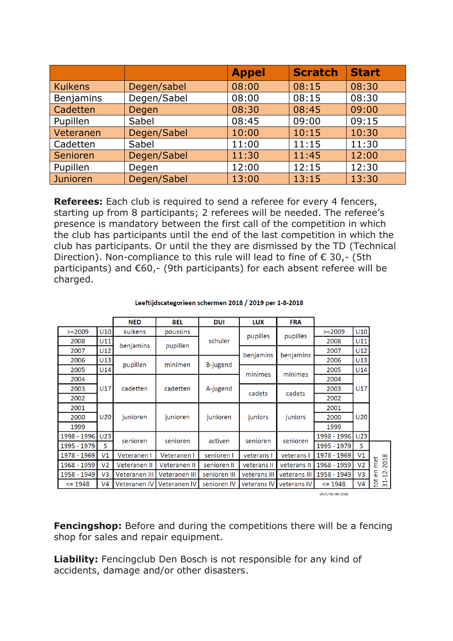|                 |             | <b>Appel</b> | <b>Scratch</b> | <b>Start</b> |
|-----------------|-------------|--------------|----------------|--------------|
| <b>Kuikens</b>  | Degen/sabel | 08:00        | 08:15          | 08:30        |
| Benjamins       | Degen/Sabel | 08:00        | 08:15          | 08:30        |
| Cadetten        | Degen       | 08:30        | 08:45          | 09:00        |
| Pupillen        | Sabel       | 08:45        | 09:00          | 09:15        |
| Veteranen       | Degen/Sabel | 10:00        | 10:15          | 10:30        |
| Cadetten        | Sabel       | 11:00        | 11:15          | 11:30        |
| Senioren        | Degen/Sabel | 11:30        | 11:45          | 12:00        |
| Pupillen        | Degen       | 12:00        | 12:15          | 12:30        |
| <b>Junioren</b> | Degen/Sabel | 13:00        | 13:15          | 13:30        |

**Referees:** Each club is required to send a referee for every 4 fencers, starting up from 8 participants; 2 referees will be needed. The referee's presence is mandatory between the first call of the competition in which the club has participants until the end of the last competition in which the club has participants. Or until the they are dismissed by the TD (Technical Direction). Non-compliance to this rule will lead to fine of  $\epsilon$  30,- (5th participants) and €60,- (9th participants) for each absent referee will be charged.

| Leeftijdscategorieen schermen 2018 / 2019 per 1-8-2018 |  |  |
|--------------------------------------------------------|--|--|
|                                                        |  |  |

|             |                 | <b>NED</b>    | <b>BEL</b>                     | <b>DUI</b>   | <b>LUX</b>   | <b>FRA</b>   |             |                 |                      |
|-------------|-----------------|---------------|--------------------------------|--------------|--------------|--------------|-------------|-----------------|----------------------|
| $>=2009$    | U10             | kuikens       | poussins                       |              | pupilles     | pupilles     | $>=2009$    | U10             |                      |
| 2008        | U11             | benjamins     | pupillen                       | schuler      |              |              | 2008        | U11             |                      |
| 2007        | U12             |               |                                |              | benjamins    | benjamins    | 2007        | U12             |                      |
| 2006        | U13             | pupillen      | minimen                        | B-jugend     |              |              | 2006        | U13             |                      |
| 2005        | U14             |               |                                |              | minimes      | minimes      | 2005        | U14             |                      |
| 2004        |                 | cadetten      |                                |              |              |              | 2004        | U17             |                      |
| 2003        | U17             |               | A-jugend<br>cadetten<br>cadets |              |              | cadets       | 2003        |                 |                      |
| 2002        |                 |               |                                |              |              | 2002         |             |                 |                      |
| 2001        |                 | junioren      | junioren                       | junioren     | juniors      | juniors      | 2001        | U <sub>20</sub> |                      |
| 2000        | U <sub>20</sub> |               |                                |              |              |              | 2000        |                 |                      |
| 1999        |                 |               |                                |              |              |              | 1999        |                 |                      |
| 1998 - 1996 | U <sub>23</sub> | senioren      | senioren                       | activen      | senioren     | senioren     | 1998 - 1996 | U <sub>23</sub> |                      |
| 1995 - 1979 | S               |               |                                |              |              |              | 1995 - 1979 | S               |                      |
| 1978 - 1969 | V <sub>1</sub>  | Veteranen I   | Veteranen I                    | senioren I   | veterans I   | veterans I   | 1978 - 1969 | V <sub>1</sub>  |                      |
| 1968 - 1959 | V <sub>2</sub>  | Veteranen II  | Veteranen II                   | senioren II  | veterans II  | veterans II  | 1968 - 1959 | V <sub>2</sub>  | 2018<br>met          |
| 1958 - 1949 | V <sub>3</sub>  | Veteranen III | Veteranen III                  | senioren III | veterans III | veterans III | 1958 - 1949 | V <sub>3</sub>  | Ξ<br>$\dot{\Xi}$     |
| $\le$ 1948  | V <sub>4</sub>  | Veteranen IV  | Veteranen IV                   | senioren IV  | veterans IV  | veterans IV  | $\le$ 1948  | V <sub>4</sub>  | tot<br>$\frac{1}{2}$ |

v6.0 / 01-08-2018

**Fencingshop:** Before and during the competitions there will be a fencing shop for sales and repair equipment.

**Liability:** Fencingclub Den Bosch is not responsible for any kind of accidents, damage and/or other disasters.